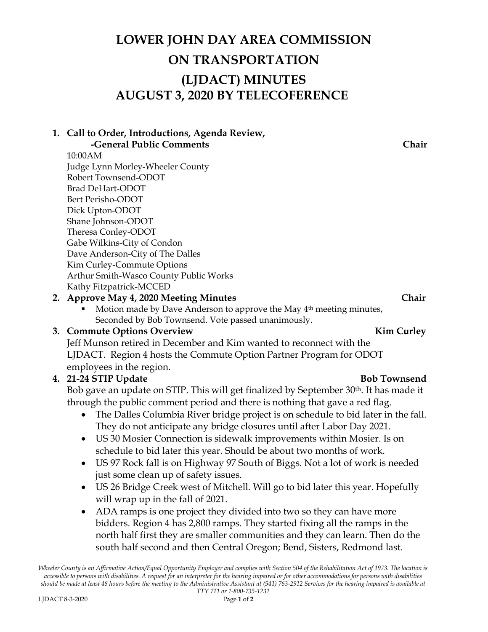# **LOWER JOHN DAY AREA COMMISSION ON TRANSPORTATION (LJDACT) MINUTES AUGUST 3, 2020 BY TELECOFERENCE**

 **-General Public Comments Chair** 10:00AM Judge Lynn Morley-Wheeler County Robert Townsend-ODOT Brad DeHart-ODOT Bert Perisho-ODOT Dick Upton-ODOT Shane Johnson-ODOT Theresa Conley-ODOT Gabe Wilkins-City of Condon Dave Anderson-City of The Dalles Kim Curley-Commute Options Arthur Smith-Wasco County Public Works Kathy Fitzpatrick-MCCED

**1. Call to Order, Introductions, Agenda Review,** 

### **2. Approve May 4, 2020 Meeting Minutes Chair**

Motion made by Dave Anderson to approve the May 4<sup>th</sup> meeting minutes, Seconded by Bob Townsend. Vote passed unanimously.

## **3. Commute Options Overview Kim Curley**

Jeff Munson retired in December and Kim wanted to reconnect with the LJDACT. Region 4 hosts the Commute Option Partner Program for ODOT employees in the region.

## **4. 21-24 STIP Update Bob Townsend**

Bob gave an update on STIP. This will get finalized by September 30<sup>th</sup>. It has made it through the public comment period and there is nothing that gave a red flag.

- The Dalles Columbia River bridge project is on schedule to bid later in the fall. They do not anticipate any bridge closures until after Labor Day 2021.
- US 30 Mosier Connection is sidewalk improvements within Mosier. Is on schedule to bid later this year. Should be about two months of work.
- US 97 Rock fall is on Highway 97 South of Biggs. Not a lot of work is needed just some clean up of safety issues.
- US 26 Bridge Creek west of Mitchell. Will go to bid later this year. Hopefully will wrap up in the fall of 2021.
- ADA ramps is one project they divided into two so they can have more bidders. Region 4 has 2,800 ramps. They started fixing all the ramps in the north half first they are smaller communities and they can learn. Then do the south half second and then Central Oregon; Bend, Sisters, Redmond last.

*Wheeler County is an Affirmative Action/Equal Opportunity Employer and complies with Section 504 of the Rehabilitation Act of 1973. The location is accessible to persons with disabilities. A request for an interpreter for the hearing impaired or for other accommodations for persons with disabilities should be made at least 48 hours before the meeting to the Administrative Assistant at (541) 763-2912 Services for the hearing impaired is available at TTY 711 or 1-800-735-1232*